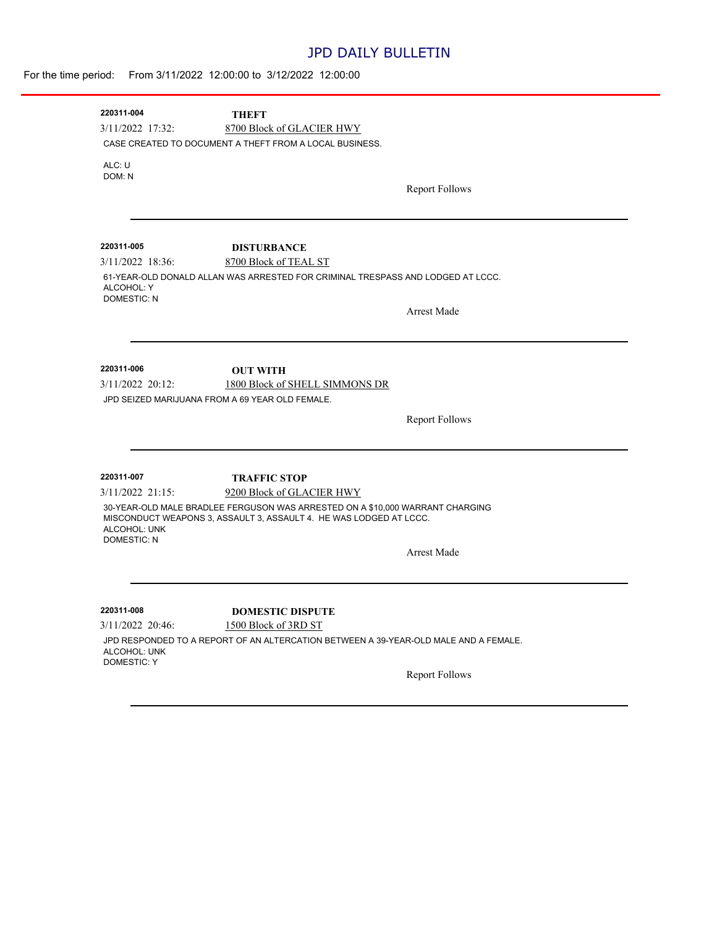### JPD DAILY BULLETIN

| For the time period: From 3/11/2022 12:00:00 to 3/12/2022 12:00:00 |  |  |  |  |
|--------------------------------------------------------------------|--|--|--|--|
|--------------------------------------------------------------------|--|--|--|--|

| 220311-004                       | <b>THEFT</b>                                                                                             |                       |
|----------------------------------|----------------------------------------------------------------------------------------------------------|-----------------------|
| 3/11/2022 17:32:                 | 8700 Block of GLACIER HWY                                                                                |                       |
|                                  | CASE CREATED TO DOCUMENT A THEFT FROM A LOCAL BUSINESS.                                                  |                       |
| ALC: U                           |                                                                                                          |                       |
| DOM: N                           |                                                                                                          |                       |
|                                  |                                                                                                          | <b>Report Follows</b> |
|                                  |                                                                                                          |                       |
|                                  |                                                                                                          |                       |
| 220311-005<br>$3/11/2022$ 18:36: | <b>DISTURBANCE</b>                                                                                       |                       |
|                                  | 8700 Block of TEAL ST<br>61-YEAR-OLD DONALD ALLAN WAS ARRESTED FOR CRIMINAL TRESPASS AND LODGED AT LCCC. |                       |
| ALCOHOL: Y                       |                                                                                                          |                       |
| <b>DOMESTIC: N</b>               |                                                                                                          | Arrest Made           |
|                                  |                                                                                                          |                       |
|                                  |                                                                                                          |                       |
| 220311-006                       | <b>OUT WITH</b>                                                                                          |                       |
| $3/11/2022$ 20:12:               | 1800 Block of SHELL SIMMONS DR                                                                           |                       |
|                                  | JPD SEIZED MARIJUANA FROM A 69 YEAR OLD FEMALE.                                                          |                       |
|                                  |                                                                                                          | <b>Report Follows</b> |
|                                  |                                                                                                          |                       |
|                                  |                                                                                                          |                       |
| 220311-007                       | <b>TRAFFIC STOP</b>                                                                                      |                       |
| 3/11/2022 21:15:                 | 9200 Block of GLACIER HWY                                                                                |                       |
|                                  | 30-YEAR-OLD MALE BRADLEE FERGUSON WAS ARRESTED ON A \$10,000 WARRANT CHARGING                            |                       |
| ALCOHOL: UNK                     | MISCONDUCT WEAPONS 3, ASSAULT 3, ASSAULT 4. HE WAS LODGED AT LCCC.                                       |                       |
| <b>DOMESTIC: N</b>               |                                                                                                          |                       |
|                                  |                                                                                                          | <b>Arrest Made</b>    |
|                                  |                                                                                                          |                       |
| 220311-008                       |                                                                                                          |                       |
| 3/11/2022 20:46:                 | <b>DOMESTIC DISPUTE</b><br>1500 Block of 3RD ST                                                          |                       |
|                                  | JPD RESPONDED TO A REPORT OF AN ALTERCATION BETWEEN A 39-YEAR-OLD MALE AND A FEMALE.                     |                       |
| ALCOHOL: UNK                     |                                                                                                          |                       |
| <b>DOMESTIC: Y</b>               |                                                                                                          | <b>Report Follows</b> |
|                                  |                                                                                                          |                       |
|                                  |                                                                                                          |                       |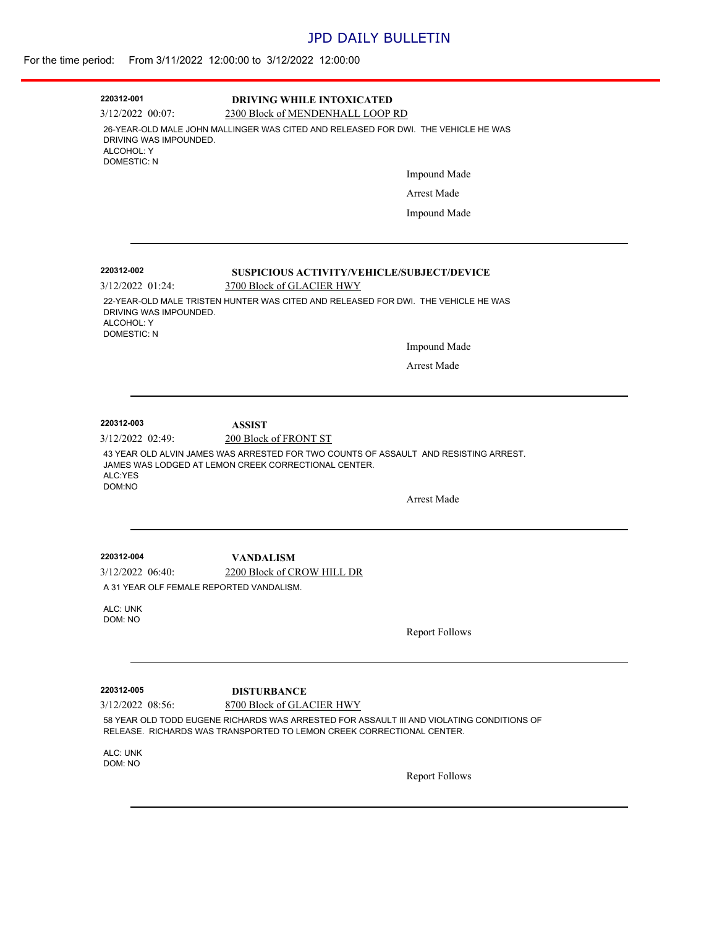# JPD DAILY BULLETIN

#### For the time period: From 3/11/2022 12:00:00 to 3/12/2022 12:00:00

| 220312-001<br>$3/12/2022$ 00:07:                           | <b>DRIVING WHILE INTOXICATED</b><br>2300 Block of MENDENHALL LOOP RD                                                                                                                            |  |  |
|------------------------------------------------------------|-------------------------------------------------------------------------------------------------------------------------------------------------------------------------------------------------|--|--|
| DRIVING WAS IMPOUNDED.<br>ALCOHOL: Y<br><b>DOMESTIC: N</b> | 26-YEAR-OLD MALE JOHN MALLINGER WAS CITED AND RELEASED FOR DWI. THE VEHICLE HE WAS                                                                                                              |  |  |
|                                                            | <b>Impound Made</b>                                                                                                                                                                             |  |  |
|                                                            | <b>Arrest Made</b>                                                                                                                                                                              |  |  |
|                                                            | Impound Made                                                                                                                                                                                    |  |  |
| 220312-002                                                 | SUSPICIOUS ACTIVITY/VEHICLE/SUBJECT/DEVICE                                                                                                                                                      |  |  |
| $3/12/2022$ 01:24:                                         | 3700 Block of GLACIER HWY                                                                                                                                                                       |  |  |
| DRIVING WAS IMPOUNDED.<br>ALCOHOL: Y<br><b>DOMESTIC: N</b> | 22-YEAR-OLD MALE TRISTEN HUNTER WAS CITED AND RELEASED FOR DWI. THE VEHICLE HE WAS                                                                                                              |  |  |
|                                                            | Impound Made                                                                                                                                                                                    |  |  |
|                                                            | Arrest Made                                                                                                                                                                                     |  |  |
|                                                            |                                                                                                                                                                                                 |  |  |
|                                                            |                                                                                                                                                                                                 |  |  |
|                                                            |                                                                                                                                                                                                 |  |  |
| 220312-003<br>3/12/2022 02:49:                             | <b>ASSIST</b>                                                                                                                                                                                   |  |  |
| ALC:YES                                                    | 200 Block of FRONT ST<br>43 YEAR OLD ALVIN JAMES WAS ARRESTED FOR TWO COUNTS OF ASSAULT AND RESISTING ARREST.<br>JAMES WAS LODGED AT LEMON CREEK CORRECTIONAL CENTER.                           |  |  |
| DOM:NO                                                     | <b>Arrest Made</b>                                                                                                                                                                              |  |  |
| 220312-004                                                 | <b>VANDALISM</b>                                                                                                                                                                                |  |  |
| A 31 YEAR OLF FEMALE REPORTED VANDALISM.                   | 2200 Block of CROW HILL DR                                                                                                                                                                      |  |  |
| $3/12/2022$ 06:40:<br>ALC: UNK<br>DOM: NO                  |                                                                                                                                                                                                 |  |  |
|                                                            | <b>Report Follows</b>                                                                                                                                                                           |  |  |
|                                                            |                                                                                                                                                                                                 |  |  |
| 220312-005                                                 | <b>DISTURBANCE</b>                                                                                                                                                                              |  |  |
| $3/12/2022$ 08:56:                                         | 8700 Block of GLACIER HWY<br>58 YEAR OLD TODD EUGENE RICHARDS WAS ARRESTED FOR ASSAULT III AND VIOLATING CONDITIONS OF<br>RELEASE. RICHARDS WAS TRANSPORTED TO LEMON CREEK CORRECTIONAL CENTER. |  |  |
|                                                            |                                                                                                                                                                                                 |  |  |
| ALC: UNK<br>DOM: NO                                        | <b>Report Follows</b>                                                                                                                                                                           |  |  |